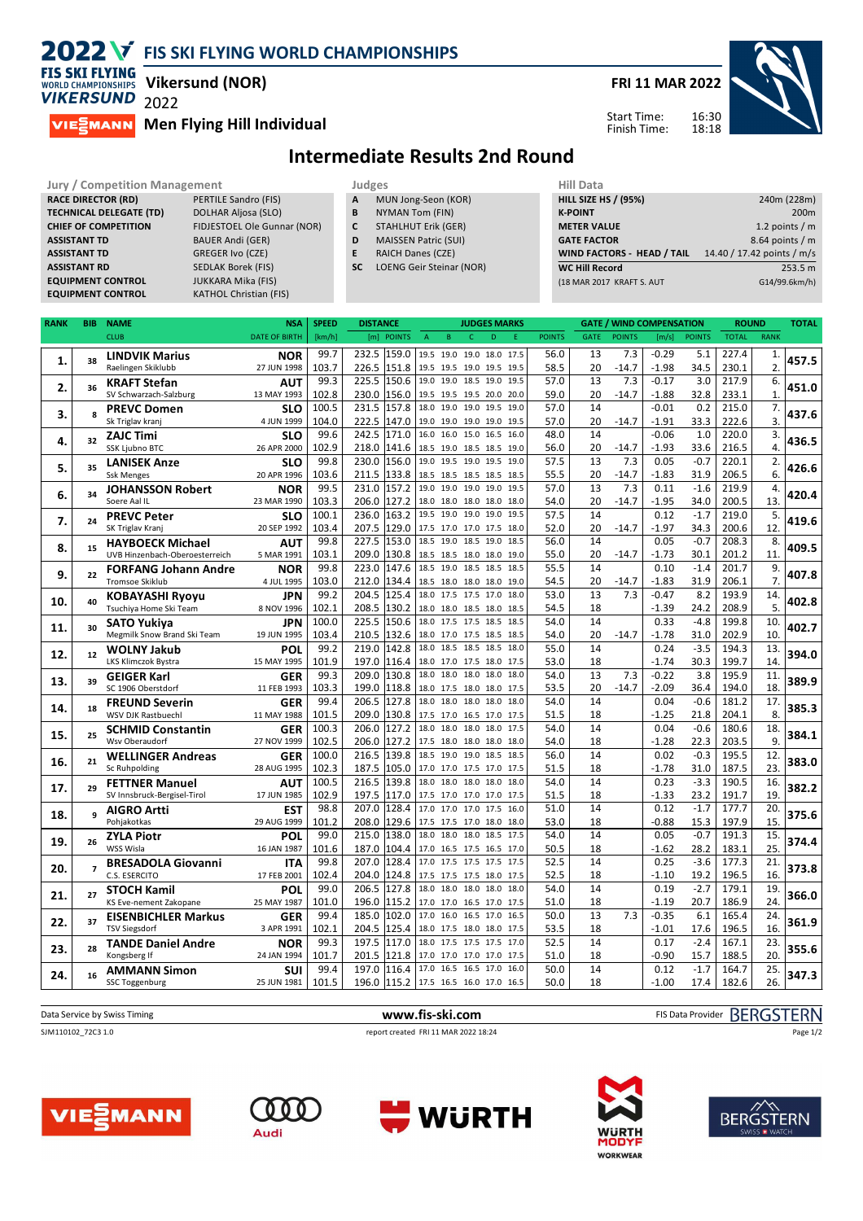# **2022 V** FIS SKI FLYING WORLD CHAMPIONSHIPS



**Vikersund (NOR)**

**MIESMANN** Men Flying Hill Individual

**FRI 11 MAR 2022**

Start Time: Finish Time: 16:30 18:18



### **Intermediate Results 2nd Round**

| <b>Jury / Competition Management</b> |                               |           | Judges                      |                    |  |  |  |  |
|--------------------------------------|-------------------------------|-----------|-----------------------------|--------------------|--|--|--|--|
| <b>RACE DIRECTOR (RD)</b>            | <b>PERTILE Sandro (FIS)</b>   | A         | MUN Jong-Seon (KOR)         | <b>HILL SIZE H</b> |  |  |  |  |
| <b>TECHNICAL DELEGATE (TD)</b>       | <b>DOLHAR Aljosa (SLO)</b>    | B         | NYMAN Tom (FIN)             | <b>K-POINT</b>     |  |  |  |  |
| <b>CHIEF OF COMPETITION</b>          | FIDJESTOEL Ole Gunnar (NOR)   | C         | <b>STAHLHUT Erik (GER)</b>  | <b>METER VA</b>    |  |  |  |  |
| <b>ASSISTANT TD</b>                  | <b>BAUER Andi (GER)</b>       | D         | <b>MAISSEN Patric (SUI)</b> | <b>GATE FACT</b>   |  |  |  |  |
| <b>ASSISTANT TD</b>                  | <b>GREGER Ivo (CZE)</b>       | E         | <b>RAICH Danes (CZE)</b>    | <b>WIND FAC</b>    |  |  |  |  |
| <b>ASSISTANT RD</b>                  | <b>SEDLAK Borek (FIS)</b>     | <b>SC</b> | LOENG Geir Steinar (NOR)    | <b>WC Hill Re</b>  |  |  |  |  |
| <b>EQUIPMENT CONTROL</b>             | <b>JUKKARA Mika (FIS)</b>     |           |                             | (18 MAR 20)        |  |  |  |  |
| <b>EQUIPMENT CONTROL</b>             | <b>KATHOL Christian (FIS)</b> |           |                             |                    |  |  |  |  |
|                                      |                               |           |                             |                    |  |  |  |  |

- **A** MUN Jong-Seon (KOR)<br>**B** NYMAN Tom (FIN) **B** NYMAN Tom (FIN)
- **C** STAHLHUT Erik (GER)
- **D** MAISSEN Patric (SUI)
- **E** RAICH Danes (CZE)
- **SC** LOENG Geir Steinar (NOR)

| Hill Data                   |                            |
|-----------------------------|----------------------------|
| <b>HILL SIZE HS / (95%)</b> | 240m (228m)                |
| <b>K-POINT</b>              | 200 <sub>m</sub>           |
| <b>METER VALUE</b>          | 1.2 points $/m$            |
| <b>GATE FACTOR</b>          | 8.64 points $/m$           |
| WIND FACTORS - HEAD / TAIL  | 14.40 / 17.42 points / m/s |
| <b>WC Hill Record</b>       | 253.5 m                    |
| (18 MAR 2017 KRAFT S. AUT   | G14/99.6km/h)              |
|                             |                            |

| RANK | <b>BIB</b>     | <b>NAME</b>                                       | <b>NSA</b>           | <b>SPEED</b>  | <b>DISTANCE</b>                  |              | <b>JUDGES MARKS</b>                             |              |               |             |                | <b>GATE / WIND COMPENSATION</b> |                | <b>ROUND</b>   |                | <b>TOTAL</b> |
|------|----------------|---------------------------------------------------|----------------------|---------------|----------------------------------|--------------|-------------------------------------------------|--------------|---------------|-------------|----------------|---------------------------------|----------------|----------------|----------------|--------------|
|      |                | <b>CLUB</b>                                       | <b>DATE OF BIRTH</b> | [km/h]        | [m]<br><b>POINTS</b>             | A<br>B       | $\epsilon$<br>D                                 | F            | <b>POINTS</b> | <b>GATE</b> | <b>POINTS</b>  | [m/s]                           | <b>POINTS</b>  | <b>TOTAL</b>   | <b>RANK</b>    |              |
|      |                | <b>LINDVIK Marius</b>                             | <b>NOR</b>           | 99.7          | 232.5<br>159.0                   |              | 19.5 19.0 19.0 18.0 17.5                        |              | 56.0          | 13          | 7.3            | $-0.29$                         | 5.1            | 227.4          | 1.             |              |
| 1.   | 38             | Raelingen Skiklubb                                | 27 JUN 1998          | 103.7         | 226.5<br>151.8                   |              | 19.5 19.5 19.0 19.5 19.5                        |              | 58.5          | 20          | $-14.7$        | $-1.98$                         | 34.5           | 230.1          | 2.             | 457.5        |
|      |                | <b>KRAFT Stefan</b>                               | AUT                  | 99.3          | 225.5<br>150.6                   | 19.0 19.0    | 18.5 19.0                                       | 19.5         | 57.0          | 13          | 7.3            | $-0.17$                         | 3.0            | 217.9          | 6.             |              |
| 2.   | 36             | SV Schwarzach-Salzburg                            | 13 MAY 1993          | 102.8         | 230.0<br>156.0                   |              | 19.5 19.5 19.5 20.0 20.0                        |              | 59.0          | 20          | $-14.7$        | $-1.88$                         | 32.8           | 233.1          | $\mathbf{1}$   | 451.0        |
| 3.   | 8              | <b>PREVC Domen</b>                                | <b>SLO</b>           | 100.5         | 231.5<br>157.8                   |              | 18.0 19.0 19.0 19.5                             | 19.0         | 57.0          | 14          |                | $-0.01$                         | 0.2            | 215.0          | 7.             | 437.6        |
|      |                | Sk Triglav kranj                                  | 4 JUN 1999           | 104.0         | 222.5<br>147.0                   |              | 19.0 19.0 19.0 19.0                             | 19.5         | 57.0          | 20          | $-14.7$        | $-1.91$                         | 33.3           | 222.6          | $\overline{3}$ |              |
| 4.   | 32             | <b>ZAJC Timi</b>                                  | <b>SLO</b>           | 99.6          | 242.5<br>171.0                   |              | 16.0 16.0 15.0 16.5 16.0                        |              | 48.0          | 14          |                | $-0.06$                         | 1.0            | 220.0          | 3.             | 436.5        |
|      |                | <b>SSK Ljubno BTC</b>                             | 26 APR 2000          | 102.9         | 218.0<br>141.6                   |              | 18.5 19.0 18.5 18.5 19.0                        |              | 56.0          | 20          | $-14.7$        | $-1.93$                         | 33.6           | 216.5          | 4.             |              |
| 5.   | 35             | <b>LANISEK Anze</b>                               | <b>SLO</b>           | 99.8          | 230.0<br>156.0                   |              | 19.0 19.5 19.0 19.5 19.0                        |              | 57.5          | 13          | 7.3            | 0.05                            | $-0.7$         | 220.1          | 2.             | 426.6        |
|      |                | <b>Ssk Menges</b>                                 | 20 APR 1996          | 103.6         | 211.5<br>133.8                   |              | 18.5 18.5 18.5 18.5                             | 18.5         | 55.5          | 20          | $-14.7$        | $-1.83$                         | 31.9           | 206.5          | 6.             |              |
| 6.   | 34             | <b>JOHANSSON Robert</b>                           | <b>NOR</b>           | 99.5          | 231.0<br>157.2                   |              | 19.0 19.0 19.0 19.0                             | 19.5         | 57.0          | 13          | 7.3            | 0.11                            | $-1.6$         | 219.9          | 4.             | 420.4        |
|      |                | Soere Aal IL                                      | 23 MAR 1990          | 103.3         | 206.0<br>127.2                   |              | 18.0 18.0 18.0 18.0 18.0                        |              | 54.0          | 20          | $-14.7$        | $-1.95$                         | 34.0           | 200.5          | 13.            |              |
| 7.   | 24             | <b>PREVC Peter</b>                                | <b>SLO</b>           | 100.1         | 163.2<br>236.0                   |              | 19.5 19.0 19.0 19.0                             | 19.5         | 57.5          | 14          |                | 0.12                            | $-1.7$         | 219.0          | 5.             | 419.6        |
|      |                | SK Triglav Kranj                                  | 20 SEP 1992          | 103.4         | 207.5<br>129.0                   |              | 17.5 17.0 17.0 17.5 18.0                        |              | 52.0          | 20          | $-14.7$        | $-1.97$                         | 34.3           | 200.6          | 12.            |              |
| 8.   | 15             | <b>HAYBOECK Michael</b>                           | AUT                  | 99.8          | 227.5<br>153.0                   |              | 18.5 19.0 18.5 19.0                             | 18.5         | 56.0          | 14          |                | 0.05                            | $-0.7$         | 208.3          | 8.             | 409.5        |
|      |                | UVB Hinzenbach-Oberoesterreich                    | 5 MAR 1991           | 103.1         | 209.0<br>130.8                   |              | 18.5 18.5 18.0 18.0 19.0                        |              | 55.0          | 20<br>14    | $-14.7$        | $-1.73$                         | 30.1           | 201.2          | 11.            |              |
| 9.   | 22             | <b>FORFANG Johann Andre</b>                       | <b>NOR</b>           | 99.8          | 223.0<br>147.6                   |              | 18.5 19.0 18.5 18.5                             | 18.5         | 55.5          |             |                | 0.10                            | $-1.4$         | 201.7          | 9.<br>7.       | 407.8        |
|      |                | <b>Tromsoe Skiklub</b>                            | 4 JUL 1995           | 103.0<br>99.2 | 212.0<br>134.4<br>125.4<br>204.5 |              | 18.5 18.0 18.0 18.0 19.0<br>18.0 17.5 17.5 17.0 | 18.0         | 54.5<br>53.0  | 20<br>13    | $-14.7$<br>7.3 | $-1.83$<br>$-0.47$              | 31.9<br>8.2    | 206.1<br>193.9 | 14.            |              |
| 10.  | 40             | <b>KOBAYASHI Ryoyu</b><br>Tsuchiya Home Ski Team  | JPN<br>8 NOV 1996    | 102.1         | 208.5<br>130.2                   |              | 18.0 18.0 18.5 18.0 18.5                        |              | 54.5          | 18          |                | $-1.39$                         | 24.2           | 208.9          | 5.             | 402.8        |
|      |                |                                                   | JPN                  | 100.0         | 150.6<br>225.5                   |              | 18.0 17.5 17.5 18.5 18.5                        |              | 54.0          | 14          |                | 0.33                            | $-4.8$         | 199.8          | 10.            |              |
| 11.  | 30             | <b>SATO Yukiya</b><br>Megmilk Snow Brand Ski Team | 19 JUN 1995          | 103.4         | 210.5<br>132.6                   |              | 18.0 17.0 17.5 18.5 18.5                        |              | 54.0          | 20          | $-14.7$        | $-1.78$                         | 31.0           | 202.9          | 10.            | 402.7        |
|      |                | <b>WOLNY Jakub</b>                                | POL                  | 99.2          | 142.8<br>219.0                   | 18.0         | 18.5 18.5 18.5 18.0                             |              | 55.0          | 14          |                | 0.24                            | $-3.5$         | 194.3          | 13.            |              |
| 12.  | 12             | LKS Klimczok Bystra                               | 15 MAY 1995          | 101.9         | 197.0<br>116.4                   |              | 18.0 17.0 17.5 18.0 17.5                        |              | 53.0          | 18          |                | $-1.74$                         | 30.3           | 199.7          | 14.            | 394.0        |
|      |                | <b>GEIGER Karl</b>                                | GER                  | 99.3          | 130.8<br>209.0                   |              | 18.0 18.0 18.0 18.0                             | 18.0         | 54.0          | 13          | 7.3            | $-0.22$                         | 3.8            | 195.9          | 11.            |              |
| 13.  | 39             | SC 1906 Oberstdorf                                | 11 FEB 1993          | 103.3         | 199.0<br>118.8                   |              | 18.0 17.5 18.0 18.0 17.5                        |              | 53.5          | 20          | $-14.7$        | $-2.09$                         | 36.4           | 194.0          | 18.            | 389.9        |
|      |                | <b>FREUND Severin</b>                             | GER                  | 99.4          | 206.5<br>127.8                   |              | 18.0 18.0 18.0 18.0                             | 18.0         | 54.0          | 14          |                | 0.04                            | $-0.6$         | 181.2          | 17.            |              |
| 14.  | 18             | WSV DJK Rastbuechl                                | 11 MAY 1988          | 101.5         | 209.0<br>130.8                   |              | 17.5 17.0 16.5 17.0 17.5                        |              | 51.5          | 18          |                | $-1.25$                         | 21.8           | 204.1          | 8.             | 385.3        |
|      |                | <b>SCHMID Constantin</b>                          | <b>GER</b>           | 100.3         | 206.0<br>127.2                   |              | 18.0 18.0 18.0 18.0 17.5                        |              | 54.0          | 14          |                | 0.04                            | $-0.6$         | 180.6          | 18.            |              |
| 15.  | 25             | Wsv Oberaudorf                                    | 27 NOV 1999          | 102.5         | 206.0<br>127.2                   |              | 17.5 18.0 18.0 18.0 18.0                        |              | 54.0          | 18          |                | $-1.28$                         | 22.3           | 203.5          | 9.             | 384.1        |
| 16.  | 21             | <b>WELLINGER Andreas</b>                          | <b>GER</b>           | 100.0         | 139.8<br>216.5                   |              | 18.5 19.0 19.0 18.5 18.5                        |              | 56.0          | 14          |                | 0.02                            | $-0.3$         | 195.5          | 12.            | 383.0        |
|      |                | Sc Ruhpolding                                     | 28 AUG 1995          | 102.3         | 105.0<br>187.5                   |              | 17.0 17.0 17.5 17.0 17.5                        |              | 51.5          | 18          |                | $-1.78$                         | 31.0           | 187.5          | 23.            |              |
| 17.  | 29             | <b>FETTNER Manuel</b>                             | AUT                  | 100.5         | 139.8<br>216.5                   |              | 18.0 18.0 18.0 18.0 18.0                        |              | 54.0          | 14          |                | 0.23                            | $-3.3$         | 190.5          | 16.            | 382.2        |
|      |                | SV Innsbruck-Bergisel-Tirol                       | 17 JUN 1985          | 102.9         | 197.5<br>117.0                   |              | 17.5 17.0 17.0 17.0                             | 17.5         | 51.5          | 18          |                | $-1.33$                         | 23.2           | 191.7          | 19             |              |
| 18.  |                | <b>AIGRO Artti</b>                                | <b>EST</b>           | 98.8          | 207.0<br>128.4                   |              | 17.0 17.0 17.0 17.5 16.0                        |              | 51.0          | 14          |                | 0.12                            | $-1.7$         | 177.7          | 20.            | 375.6        |
|      |                | Pohjakotkas                                       | 29 AUG 1999          | 101.2         | 208.0<br>129.6                   |              | 17.5 17.5 17.0 18.0                             | 18.0         | 53.0          | 18          |                | $-0.88$                         | 15.3           | 197.9          | 15.            |              |
| 19.  | 26             | <b>ZYLA Piotr</b>                                 | POL                  | 99.0          | 215.0<br>138.0                   |              | 18.0 18.0 18.0 18.5                             | 17.5         | 54.0          | 14          |                | 0.05                            | $-0.7$         | 191.3          | 15.            | 374.4        |
|      |                | WSS Wisla                                         | 16 JAN 1987          | 101.6         | 187.0<br>104.4                   |              | 17.0 16.5 17.5 16.5 17.0                        |              | 50.5          | 18          |                | $-1.62$                         | 28.2           | 183.1          | 25.            |              |
| 20.  | $\overline{ }$ | <b>BRESADOLA Giovanni</b>                         | <b>ITA</b>           | 99.8          | 207.0<br>128.4                   |              | 17.0 17.5 17.5 17.5                             | 17.5         | 52.5          | 14          |                | 0.25                            | $-3.6$         | 177.3          | 21.            | 373.8        |
|      |                | C.S. ESERCITO                                     | 17 FEB 2001          | 102.4         | 204.0<br>124.8                   |              | 17.5 17.5 17.5 18.0                             | 17.5         | 52.5          | 18          |                | $-1.10$                         | 19.2           | 196.5          | 16.            |              |
| 21.  | 27             | <b>STOCH Kamil</b>                                | POL                  | 99.0          | 206.5<br>127.8                   |              | 18.0 18.0 18.0 18.0                             | 18.0         | 54.0          | 14          |                | 0.19                            | $-2.7$         | 179.1          | 19.            | 366.0        |
|      |                | KS Eve-nement Zakopane                            | 25 MAY 1987          | 101.0         | 196.0<br>115.2                   |              | 17.0 17.0 16.5 17.0                             | 17.5         | 51.0          | 18          |                | $-1.19$                         | 20.7           | 186.9          | 24.            |              |
| 22.  | 37             | <b>EISENBICHLER Markus</b>                        | <b>GER</b>           | 99.4          | 185.0<br>102.0                   |              | 17.0 16.0 16.5 17.0                             | 16.5         | 50.0          | 13          | 7.3            | $-0.35$                         | 6.1            | 165.4          | 24.            | 361.9        |
|      |                | <b>TSV Siegsdorf</b>                              | 3 APR 1991           | 102.1         | 204.5<br>125.4                   |              | 18.0 17.5 18.0 18.0 17.5                        |              | 53.5          | 18          |                | $-1.01$                         | 17.6           | 196.5          | 16.            |              |
| 23.  | 28             | <b>TANDE Daniel Andre</b>                         | <b>NOR</b>           | 99.3<br>101.7 | 197.5<br>117.0<br>201.5<br>121.8 |              | 18.0 17.5 17.5 17.5                             | 17.0         | 52.5<br>51.0  | 14<br>18    |                | 0.17<br>$-0.90$                 | $-2.4$<br>15.7 | 167.1<br>188.5 | 23.<br>20.     | 355.6        |
|      |                | Kongsberg If                                      | 24 JAN 1994          | 99.4          | 197.0<br>116.4                   | 17.0<br>16.5 | 17.0 17.0 17.0 17.0<br>16.5 17.0                | 17.5<br>16.0 | 50.0          | 14          |                | 0.12                            | $-1.7$         | 164.7          | 25.            |              |
| 24.  | 16             | <b>AMMANN Simon</b><br><b>SSC Toggenburg</b>      | SUI<br>25 JUN 1981   | 101.5         | 196.0                            |              | 17.5 16.5 16.0 17.0 16.5                        |              | 50.0          | 18          |                | $-1.00$                         | 17.4           | 182.6          | 26.            | 347.3        |
|      |                |                                                   |                      |               | 115.2                            |              |                                                 |              |               |             |                |                                 |                |                |                |              |

| Data Service by Swiss Timing | www.fis-ski.com                      | FIS Data Provider BERGSTERN |
|------------------------------|--------------------------------------|-----------------------------|
| SJM110102 72C3 1.0           | report created FRI 11 MAR 2022 18:24 | Page 1/2                    |
|                              |                                      |                             |
|                              |                                      |                             |